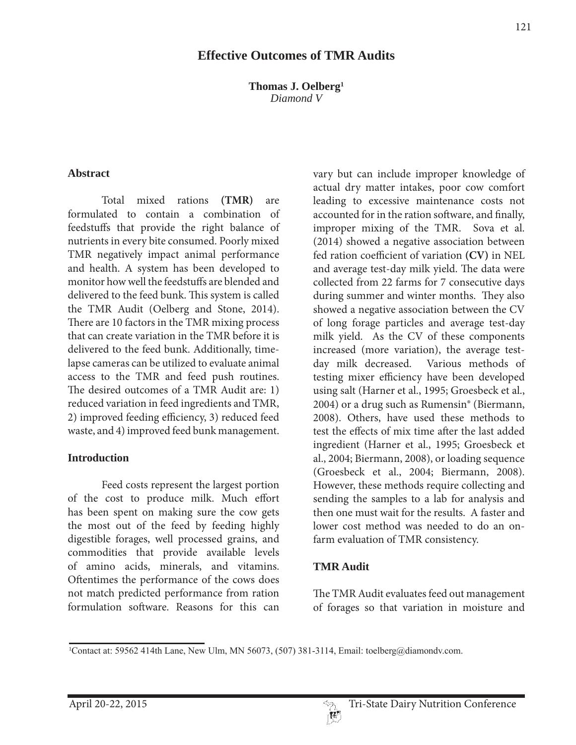### **Effective Outcomes of TMR Audits**

**Thomas J. Oelberg1** *Diamond V*

#### **Abstract**

 Total mixed rations **(TMR)** are formulated to contain a combination of feedstuffs that provide the right balance of nutrients in every bite consumed. Poorly mixed TMR negatively impact animal performance and health. A system has been developed to monitor how well the feedstuffs are blended and delivered to the feed bunk. This system is called the TMR Audit (Oelberg and Stone, 2014). There are 10 factors in the TMR mixing process that can create variation in the TMR before it is delivered to the feed bunk. Additionally, timelapse cameras can be utilized to evaluate animal access to the TMR and feed push routines. The desired outcomes of a TMR Audit are: 1) reduced variation in feed ingredients and TMR, 2) improved feeding efficiency, 3) reduced feed waste, and 4) improved feed bunk management.

#### **Introduction**

 Feed costs represent the largest portion of the cost to produce milk. Much effort has been spent on making sure the cow gets the most out of the feed by feeding highly digestible forages, well processed grains, and commodities that provide available levels of amino acids, minerals, and vitamins. Oftentimes the performance of the cows does not match predicted performance from ration formulation software. Reasons for this can

vary but can include improper knowledge of actual dry matter intakes, poor cow comfort leading to excessive maintenance costs not accounted for in the ration software, and finally, improper mixing of the TMR. Sova et al. (2014) showed a negative association between fed ration coefficient of variation **(CV)** in NEL and average test-day milk yield. The data were collected from 22 farms for 7 consecutive days during summer and winter months. They also showed a negative association between the CV of long forage particles and average test-day milk yield. As the CV of these components increased (more variation), the average testday milk decreased. Various methods of testing mixer efficiency have been developed using salt (Harner et al., 1995; Groesbeck et al., 2004) or a drug such as Rumensin® (Biermann, 2008). Others, have used these methods to test the effects of mix time after the last added ingredient (Harner et al., 1995; Groesbeck et al., 2004; Biermann, 2008), or loading sequence (Groesbeck et al., 2004; Biermann, 2008). However, these methods require collecting and sending the samples to a lab for analysis and then one must wait for the results. A faster and lower cost method was needed to do an onfarm evaluation of TMR consistency.

#### **TMR Audit**

The TMR Audit evaluates feed out management of forages so that variation in moisture and

<sup>&</sup>lt;sup>1</sup>Contact at: 59562 414th Lane, New Ulm, MN 56073, (507) 381-3114, Email: toelberg@diamondv.com.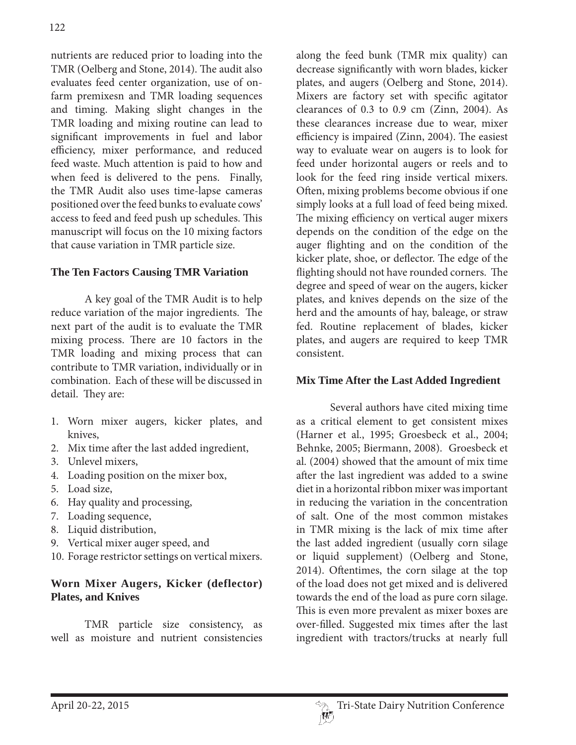nutrients are reduced prior to loading into the TMR (Oelberg and Stone, 2014). The audit also evaluates feed center organization, use of onfarm premixesn and TMR loading sequences and timing. Making slight changes in the TMR loading and mixing routine can lead to significant improvements in fuel and labor efficiency, mixer performance, and reduced feed waste. Much attention is paid to how and when feed is delivered to the pens. Finally, the TMR Audit also uses time-lapse cameras positioned over the feed bunks to evaluate cows' access to feed and feed push up schedules. This manuscript will focus on the 10 mixing factors that cause variation in TMR particle size.

### **The Ten Factors Causing TMR Variation**

 A key goal of the TMR Audit is to help reduce variation of the major ingredients. The next part of the audit is to evaluate the TMR mixing process. There are 10 factors in the TMR loading and mixing process that can contribute to TMR variation, individually or in combination. Each of these will be discussed in detail. They are:

- 1. Worn mixer augers, kicker plates, and knives,
- 2. Mix time after the last added ingredient,
- 3. Unlevel mixers,
- 4. Loading position on the mixer box,
- 5. Load size,
- 6. Hay quality and processing,
- 7. Loading sequence,
- 8. Liquid distribution,
- 9. Vertical mixer auger speed, and
- 10. Forage restrictor settings on vertical mixers.

# **Worn Mixer Augers, Kicker (deflector) Plates, and Knives**

 TMR particle size consistency, as well as moisture and nutrient consistencies along the feed bunk (TMR mix quality) can decrease significantly with worn blades, kicker plates, and augers (Oelberg and Stone, 2014). Mixers are factory set with specific agitator clearances of 0.3 to 0.9 cm (Zinn, 2004). As these clearances increase due to wear, mixer efficiency is impaired (Zinn, 2004). The easiest way to evaluate wear on augers is to look for feed under horizontal augers or reels and to look for the feed ring inside vertical mixers. Often, mixing problems become obvious if one simply looks at a full load of feed being mixed. The mixing efficiency on vertical auger mixers depends on the condition of the edge on the auger flighting and on the condition of the kicker plate, shoe, or deflector. The edge of the flighting should not have rounded corners. The degree and speed of wear on the augers, kicker plates, and knives depends on the size of the herd and the amounts of hay, baleage, or straw fed. Routine replacement of blades, kicker plates, and augers are required to keep TMR consistent.

### **Mix Time After the Last Added Ingredient**

 Several authors have cited mixing time as a critical element to get consistent mixes (Harner et al., 1995; Groesbeck et al., 2004; Behnke, 2005; Biermann, 2008). Groesbeck et al. (2004) showed that the amount of mix time after the last ingredient was added to a swine diet in a horizontal ribbon mixer was important in reducing the variation in the concentration of salt. One of the most common mistakes in TMR mixing is the lack of mix time after the last added ingredient (usually corn silage or liquid supplement) (Oelberg and Stone, 2014). Oftentimes, the corn silage at the top of the load does not get mixed and is delivered towards the end of the load as pure corn silage. This is even more prevalent as mixer boxes are over-filled. Suggested mix times after the last ingredient with tractors/trucks at nearly full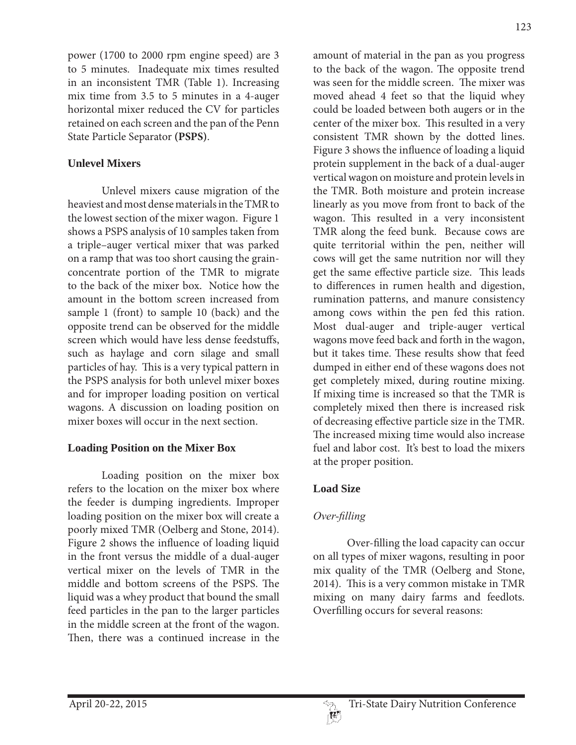power (1700 to 2000 rpm engine speed) are 3 to 5 minutes. Inadequate mix times resulted in an inconsistent TMR (Table 1). Increasing mix time from 3.5 to 5 minutes in a 4-auger horizontal mixer reduced the CV for particles retained on each screen and the pan of the Penn State Particle Separator **(PSPS)**.

#### **Unlevel Mixers**

 Unlevel mixers cause migration of the heaviest and most dense materials in the TMR to the lowest section of the mixer wagon. Figure 1 shows a PSPS analysis of 10 samples taken from a triple–auger vertical mixer that was parked on a ramp that was too short causing the grainconcentrate portion of the TMR to migrate to the back of the mixer box. Notice how the amount in the bottom screen increased from sample 1 (front) to sample 10 (back) and the opposite trend can be observed for the middle screen which would have less dense feedstuffs, such as haylage and corn silage and small particles of hay. This is a very typical pattern in the PSPS analysis for both unlevel mixer boxes and for improper loading position on vertical wagons. A discussion on loading position on mixer boxes will occur in the next section.

#### **Loading Position on the Mixer Box**

 Loading position on the mixer box refers to the location on the mixer box where the feeder is dumping ingredients. Improper loading position on the mixer box will create a poorly mixed TMR (Oelberg and Stone, 2014). Figure 2 shows the influence of loading liquid in the front versus the middle of a dual-auger vertical mixer on the levels of TMR in the middle and bottom screens of the PSPS. The liquid was a whey product that bound the small feed particles in the pan to the larger particles in the middle screen at the front of the wagon. Then, there was a continued increase in the

amount of material in the pan as you progress to the back of the wagon. The opposite trend was seen for the middle screen. The mixer was moved ahead 4 feet so that the liquid whey could be loaded between both augers or in the center of the mixer box. This resulted in a very consistent TMR shown by the dotted lines. Figure 3 shows the influence of loading a liquid protein supplement in the back of a dual-auger vertical wagon on moisture and protein levels in the TMR. Both moisture and protein increase linearly as you move from front to back of the wagon. This resulted in a very inconsistent TMR along the feed bunk. Because cows are quite territorial within the pen, neither will cows will get the same nutrition nor will they get the same effective particle size. This leads to differences in rumen health and digestion, rumination patterns, and manure consistency among cows within the pen fed this ration. Most dual-auger and triple-auger vertical wagons move feed back and forth in the wagon, but it takes time. These results show that feed dumped in either end of these wagons does not get completely mixed, during routine mixing. If mixing time is increased so that the TMR is completely mixed then there is increased risk of decreasing effective particle size in the TMR. The increased mixing time would also increase fuel and labor cost. It's best to load the mixers at the proper position.

### **Load Size**

# *<u><i>Over-filling</u>*</u>

 Over-filling the load capacity can occur on all types of mixer wagons, resulting in poor mix quality of the TMR (Oelberg and Stone, 2014). This is a very common mistake in TMR mixing on many dairy farms and feedlots. Overfilling occurs for several reasons:

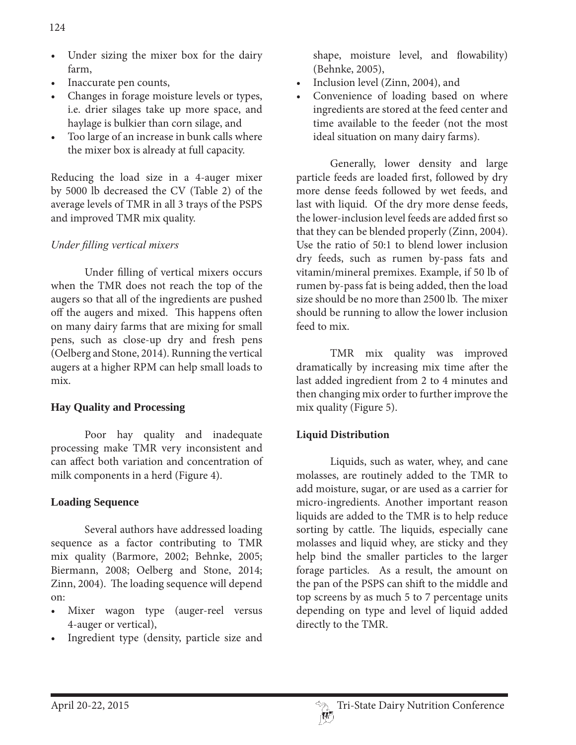- Under sizing the mixer box for the dairy farm,
- Inaccurate pen counts,
- Changes in forage moisture levels or types, i.e. drier silages take up more space, and haylage is bulkier than corn silage, and
- Too large of an increase in bunk calls where the mixer box is already at full capacity.

Reducing the load size in a 4-auger mixer by 5000 lb decreased the CV (Table 2) of the average levels of TMR in all 3 trays of the PSPS and improved TMR mix quality.

# *<i>Under filling vertical mixers*

 Under filling of vertical mixers occurs when the TMR does not reach the top of the augers so that all of the ingredients are pushed off the augers and mixed. This happens often on many dairy farms that are mixing for small pens, such as close-up dry and fresh pens (Oelberg and Stone, 2014). Running the vertical augers at a higher RPM can help small loads to mix.

# **Hay Quality and Processing**

 Poor hay quality and inadequate processing make TMR very inconsistent and can affect both variation and concentration of milk components in a herd (Figure 4).

# **Loading Sequence**

 Several authors have addressed loading sequence as a factor contributing to TMR mix quality (Barmore, 2002; Behnke, 2005; Biermann, 2008; Oelberg and Stone, 2014; Zinn, 2004). The loading sequence will depend on:

- Mixer wagon type (auger-reel versus 4-auger or vertical),
- Ingredient type (density, particle size and

shape, moisture level, and flowability) (Behnke, 2005),

- Inclusion level (Zinn, 2004), and
- Convenience of loading based on where ingredients are stored at the feed center and time available to the feeder (not the most ideal situation on many dairy farms).

 Generally, lower density and large particle feeds are loaded first, followed by dry more dense feeds followed by wet feeds, and last with liquid. Of the dry more dense feeds, the lower-inclusion level feeds are added first so that they can be blended properly (Zinn, 2004). Use the ratio of 50:1 to blend lower inclusion dry feeds, such as rumen by-pass fats and vitamin/mineral premixes. Example, if 50 lb of rumen by-pass fat is being added, then the load size should be no more than 2500 lb. The mixer should be running to allow the lower inclusion feed to mix.

 TMR mix quality was improved dramatically by increasing mix time after the last added ingredient from 2 to 4 minutes and then changing mix order to further improve the mix quality (Figure 5).

# **Liquid Distribution**

 Liquids, such as water, whey, and cane molasses, are routinely added to the TMR to add moisture, sugar, or are used as a carrier for micro-ingredients. Another important reason liquids are added to the TMR is to help reduce sorting by cattle. The liquids, especially cane molasses and liquid whey, are sticky and they help bind the smaller particles to the larger forage particles. As a result, the amount on the pan of the PSPS can shift to the middle and top screens by as much 5 to 7 percentage units depending on type and level of liquid added directly to the TMR.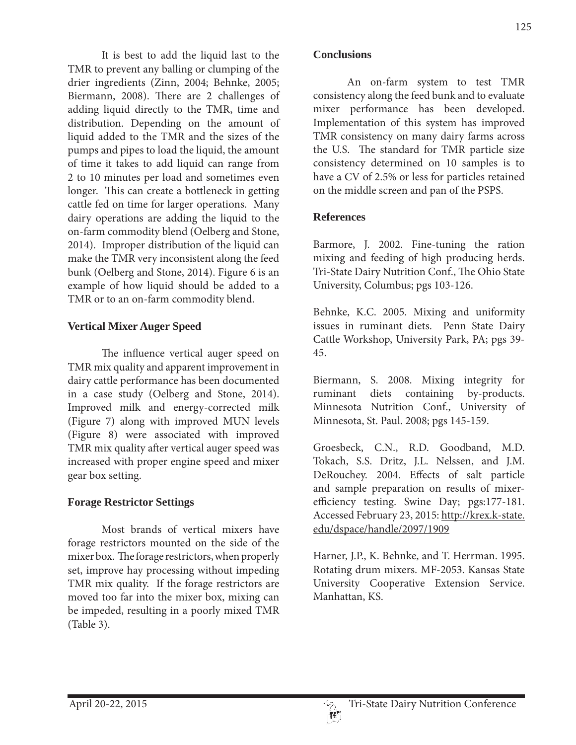It is best to add the liquid last to the TMR to prevent any balling or clumping of the drier ingredients (Zinn, 2004; Behnke, 2005; Biermann, 2008). There are 2 challenges of adding liquid directly to the TMR, time and distribution. Depending on the amount of liquid added to the TMR and the sizes of the pumps and pipes to load the liquid, the amount of time it takes to add liquid can range from 2 to 10 minutes per load and sometimes even longer. This can create a bottleneck in getting cattle fed on time for larger operations. Many dairy operations are adding the liquid to the on-farm commodity blend (Oelberg and Stone, 2014). Improper distribution of the liquid can make the TMR very inconsistent along the feed bunk (Oelberg and Stone, 2014). Figure 6 is an example of how liquid should be added to a TMR or to an on-farm commodity blend.

## **Vertical Mixer Auger Speed**

 The influence vertical auger speed on TMR mix quality and apparent improvement in dairy cattle performance has been documented in a case study (Oelberg and Stone, 2014). Improved milk and energy-corrected milk (Figure 7) along with improved MUN levels (Figure 8) were associated with improved TMR mix quality after vertical auger speed was increased with proper engine speed and mixer gear box setting.

### **Forage Restrictor Settings**

 Most brands of vertical mixers have forage restrictors mounted on the side of the mixer box. The forage restrictors, when properly set, improve hay processing without impeding TMR mix quality. If the forage restrictors are moved too far into the mixer box, mixing can be impeded, resulting in a poorly mixed TMR (Table 3).

 An on-farm system to test TMR consistency along the feed bunk and to evaluate mixer performance has been developed. Implementation of this system has improved TMR consistency on many dairy farms across the U.S. The standard for TMR particle size consistency determined on 10 samples is to have a CV of 2.5% or less for particles retained on the middle screen and pan of the PSPS.

## **References**

**Conclusions**

Barmore, J. 2002. Fine-tuning the ration mixing and feeding of high producing herds. Tri-State Dairy Nutrition Conf., The Ohio State University, Columbus; pgs 103-126.

Behnke, K.C. 2005. Mixing and uniformity issues in ruminant diets. Penn State Dairy Cattle Workshop, University Park, PA; pgs 39- 45.

Biermann, S. 2008. Mixing integrity for ruminant diets containing by-products. Minnesota Nutrition Conf., University of Minnesota, St. Paul. 2008; pgs 145-159.

Groesbeck, C.N., R.D. Goodband, M.D. Tokach, S.S. Dritz, J.L. Nelssen, and J.M. DeRouchey. 2004. Effects of salt particle and sample preparation on results of mixerefficiency testing. Swine Day; pgs:177-181. Accessed February 23, 2015: http://krex.k-state. edu/dspace/handle/2097/1909

Harner, J.P., K. Behnke, and T. Herrman. 1995. Rotating drum mixers. MF-2053. Kansas State University Cooperative Extension Service. Manhattan, KS.

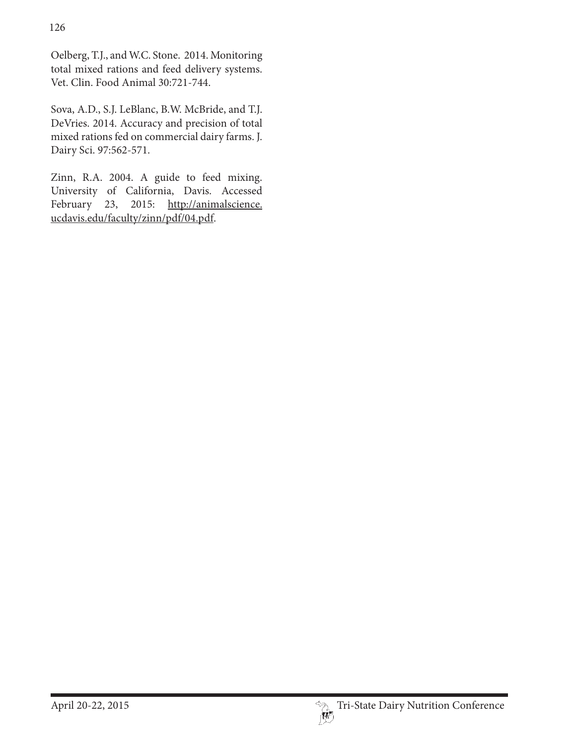Oelberg, T.J., and W.C. Stone. 2014. Monitoring total mixed rations and feed delivery systems. Vet. Clin. Food Animal 30:721-744.

Sova, A.D., S.J. LeBlanc, B.W. McBride, and T.J. DeVries. 2014. Accuracy and precision of total mixed rations fed on commercial dairy farms. J. Dairy Sci. 97:562-571.

Zinn, R.A. 2004. A guide to feed mixing. University of California, Davis. Accessed February 23, 2015: http://animalscience. ucdavis.edu/faculty/zinn/pdf/04.pdf.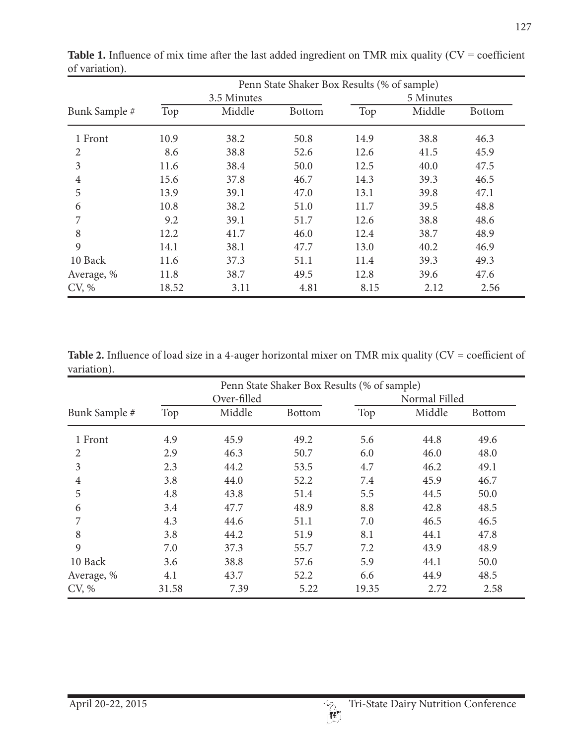|               |             | Penn State Shaker Box Results (% of sample) |               |           |        |               |  |  |
|---------------|-------------|---------------------------------------------|---------------|-----------|--------|---------------|--|--|
|               | 3.5 Minutes |                                             |               | 5 Minutes |        |               |  |  |
| Bunk Sample # | Top         | Middle                                      | <b>Bottom</b> | Top       | Middle | <b>Bottom</b> |  |  |
| 1 Front       | 10.9        | 38.2                                        | 50.8          | 14.9      | 38.8   | 46.3          |  |  |
| 2             | 8.6         | 38.8                                        | 52.6          | 12.6      | 41.5   | 45.9          |  |  |
| 3             | 11.6        | 38.4                                        | 50.0          | 12.5      | 40.0   | 47.5          |  |  |
| 4             | 15.6        | 37.8                                        | 46.7          | 14.3      | 39.3   | 46.5          |  |  |
| 5             | 13.9        | 39.1                                        | 47.0          | 13.1      | 39.8   | 47.1          |  |  |
| 6             | 10.8        | 38.2                                        | 51.0          | 11.7      | 39.5   | 48.8          |  |  |
| 7             | 9.2         | 39.1                                        | 51.7          | 12.6      | 38.8   | 48.6          |  |  |
| 8             | 12.2        | 41.7                                        | 46.0          | 12.4      | 38.7   | 48.9          |  |  |
| 9             | 14.1        | 38.1                                        | 47.7          | 13.0      | 40.2   | 46.9          |  |  |
| 10 Back       | 11.6        | 37.3                                        | 51.1          | 11.4      | 39.3   | 49.3          |  |  |
| Average, %    | 11.8        | 38.7                                        | 49.5          | 12.8      | 39.6   | 47.6          |  |  |
| CV, %         | 18.52       | 3.11                                        | 4.81          | 8.15      | 2.12   | 2.56          |  |  |

**Table 1.** Influence of mix time after the last added ingredient on TMR mix quality  $(CV = \text{coefficient})$ of variation).

**Table 2.** Influence of load size in a 4-auger horizontal mixer on TMR mix quality (CV = coefficient of variation).

|                | Penn State Shaker Box Results (% of sample) |        |               |               |        |               |  |  |
|----------------|---------------------------------------------|--------|---------------|---------------|--------|---------------|--|--|
|                | Over-filled                                 |        |               | Normal Filled |        |               |  |  |
| Bunk Sample #  | Top                                         | Middle | <b>Bottom</b> | Top           | Middle | <b>Bottom</b> |  |  |
| 1 Front        | 4.9                                         | 45.9   | 49.2          | 5.6           | 44.8   | 49.6          |  |  |
| $\overline{2}$ | 2.9                                         | 46.3   | 50.7          | 6.0           | 46.0   | 48.0          |  |  |
| 3              | 2.3                                         | 44.2   | 53.5          | 4.7           | 46.2   | 49.1          |  |  |
| $\overline{4}$ | 3.8                                         | 44.0   | 52.2          | 7.4           | 45.9   | 46.7          |  |  |
| 5              | 4.8                                         | 43.8   | 51.4          | 5.5           | 44.5   | 50.0          |  |  |
| 6              | 3.4                                         | 47.7   | 48.9          | 8.8           | 42.8   | 48.5          |  |  |
| 7              | 4.3                                         | 44.6   | 51.1          | 7.0           | 46.5   | 46.5          |  |  |
| 8              | 3.8                                         | 44.2   | 51.9          | 8.1           | 44.1   | 47.8          |  |  |
| 9              | 7.0                                         | 37.3   | 55.7          | 7.2           | 43.9   | 48.9          |  |  |
| 10 Back        | 3.6                                         | 38.8   | 57.6          | 5.9           | 44.1   | 50.0          |  |  |
| Average, %     | 4.1                                         | 43.7   | 52.2          | 6.6           | 44.9   | 48.5          |  |  |
| CV, %          | 31.58                                       | 7.39   | 5.22          | 19.35         | 2.72   | 2.58          |  |  |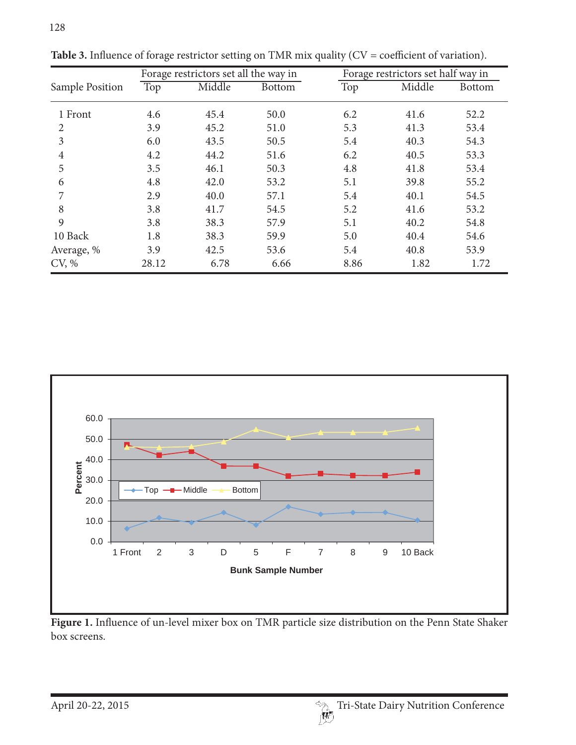| Sample Position | Forage restrictors set all the way in |        |               | Forage restrictors set half way in |        |               |
|-----------------|---------------------------------------|--------|---------------|------------------------------------|--------|---------------|
|                 | Top                                   | Middle | <b>Bottom</b> | Top                                | Middle | <b>Bottom</b> |
| 1 Front         | 4.6                                   | 45.4   | 50.0          | 6.2                                | 41.6   | 52.2          |
| 2               | 3.9                                   | 45.2   | 51.0          | 5.3                                | 41.3   | 53.4          |
| 3               | 6.0                                   | 43.5   | 50.5          | 5.4                                | 40.3   | 54.3          |
| 4               | 4.2                                   | 44.2   | 51.6          | 6.2                                | 40.5   | 53.3          |
| 5               | 3.5                                   | 46.1   | 50.3          | 4.8                                | 41.8   | 53.4          |
| 6               | 4.8                                   | 42.0   | 53.2          | 5.1                                | 39.8   | 55.2          |
| 7               | 2.9                                   | 40.0   | 57.1          | 5.4                                | 40.1   | 54.5          |
| 8               | 3.8                                   | 41.7   | 54.5          | 5.2                                | 41.6   | 53.2          |
| 9               | 3.8                                   | 38.3   | 57.9          | 5.1                                | 40.2   | 54.8          |
| 10 Back         | 1.8                                   | 38.3   | 59.9          | 5.0                                | 40.4   | 54.6          |
| Average, %      | 3.9                                   | 42.5   | 53.6          | 5.4                                | 40.8   | 53.9          |
| CV, %           | 28.12                                 | 6.78   | 6.66          | 8.86                               | 1.82   | 1.72          |

**Table 3.** Influence of forage restrictor setting on TMR mix quality (CV = coefficient of variation).



**Figure 1.** Influence of un-level mixer box on TMR particle size distribution on the Penn State Shaker box screens.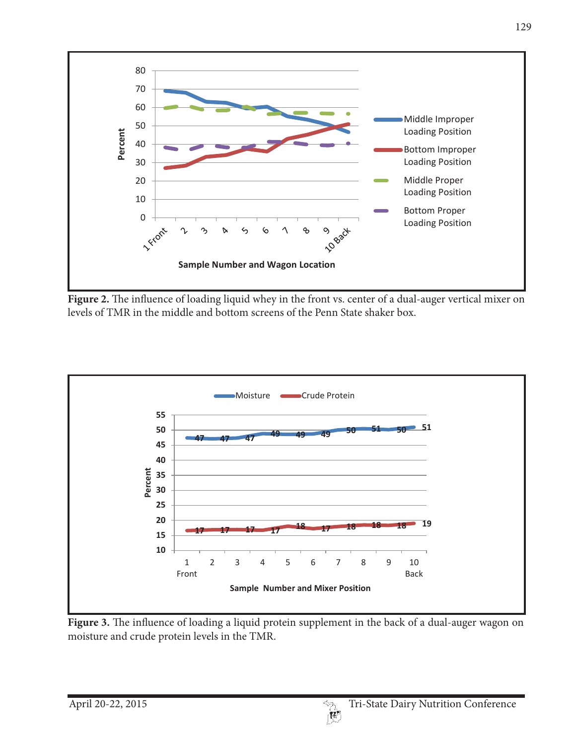

Figure 2. The influence of loading liquid whey in the front vs. center of a dual-auger vertical mixer on levels of TMR in the middle and bottom screens of the Penn State shaker box.



**Figure 3.** The influence of loading a liquid protein supplement in the back of a dual-auger wagon on moisture and crude protein levels in the TMR.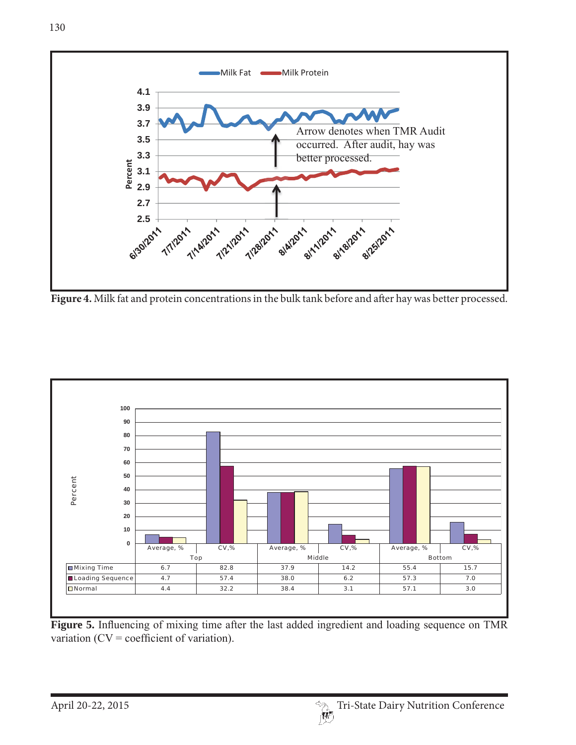

**Figure 4.** Milk fat and protein concentrations in the bulk tank before and after hay was better processed.



Figure 5. Influencing of mixing time after the last added ingredient and loading sequence on TMR variation ( $CV = coefficient of variation$ ).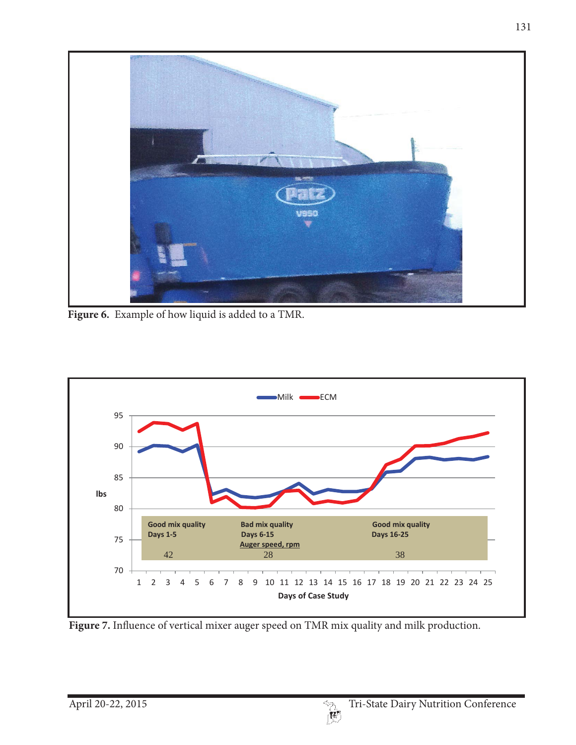

**Figure 6.** Example of how liquid is added to a TMR.



Figure 7. Influence of vertical mixer auger speed on TMR mix quality and milk production.